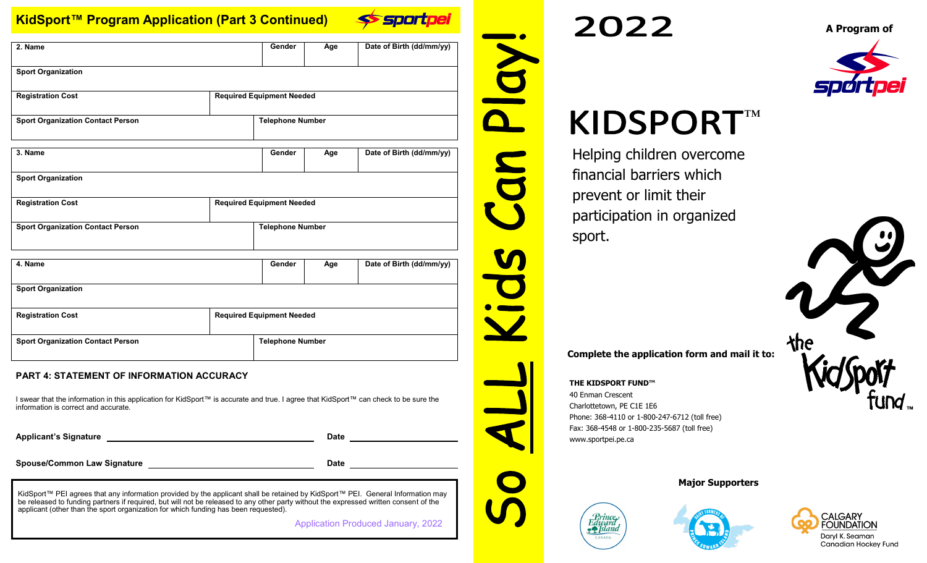# **KidSport™ Program Application (Part 3 Continued)**



 $\bigcap$ 

| 2. Name                                  |                                  | Gender                           | Age                | Date of Birth (dd/mm/yy) |  |
|------------------------------------------|----------------------------------|----------------------------------|--------------------|--------------------------|--|
|                                          |                                  |                                  |                    |                          |  |
|                                          |                                  |                                  |                    |                          |  |
| <b>Sport Organization</b>                |                                  |                                  |                    |                          |  |
| <b>Registration Cost</b>                 |                                  | <b>Required Equipment Needed</b> |                    |                          |  |
|                                          |                                  |                                  |                    |                          |  |
| <b>Sport Organization Contact Person</b> |                                  | <b>Telephone Number</b>          |                    |                          |  |
|                                          |                                  |                                  |                    |                          |  |
| 3. Name                                  |                                  | Gender                           |                    |                          |  |
|                                          |                                  |                                  | Age                | Date of Birth (dd/mm/yy) |  |
| <b>Sport Organization</b>                |                                  |                                  |                    |                          |  |
|                                          |                                  |                                  |                    |                          |  |
| <b>Registration Cost</b>                 | <b>Required Equipment Needed</b> |                                  |                    |                          |  |
|                                          |                                  |                                  |                    |                          |  |
| <b>Sport Organization Contact Person</b> |                                  | <b>Telephone Number</b>          |                    |                          |  |
|                                          |                                  |                                  |                    |                          |  |
|                                          |                                  |                                  |                    |                          |  |
| A Namo                                   |                                  | Condor                           | $A_{\alpha\alpha}$ | Date of Rirth (dd/mm/w)  |  |

| 4. Name                                  | Gender                           | Age | Date of Birth (dd/mm/yy) |
|------------------------------------------|----------------------------------|-----|--------------------------|
| <b>Sport Organization</b>                |                                  |     |                          |
| <b>Registration Cost</b>                 | <b>Required Equipment Needed</b> |     |                          |
| <b>Sport Organization Contact Person</b> | <b>Telephone Number</b>          |     |                          |

## **PART 4: STATEMENT OF INFORMATION ACCURACY**

I swear that the information in this application for KidSport™ is accurate and true. I agree that KidSport™ can check to be sure the information is correct and accurate.

**Applicant's Signature Date**

**Spouse/Common Law Signature Date**

KidSport™ PEI agrees that any information provided by the applicant shall be retained by KidSport™ PEI. General Information may be released to funding partners if required, but will not be released to any other party without the expressed written consent of the applicant (other than the sport organization for which funding has been requested).

Application Produced January, 2022

2022



# **KIDSPORT™**

Helping children overcome financial barriers which prevent or limit their participation in organized sport.



**Complete the application form and mail it to:**

#### **THE KIDSPORT FUND™**

40 Enman Crescent Charlottetown, PE C1E 1E6 Phone: 368-4110 or 1-800-247-6712 (toll free) Fax: 368-4548 or 1-800-235-5687 (toll free) www.sportpei.pe.ca







**Major Supporters**